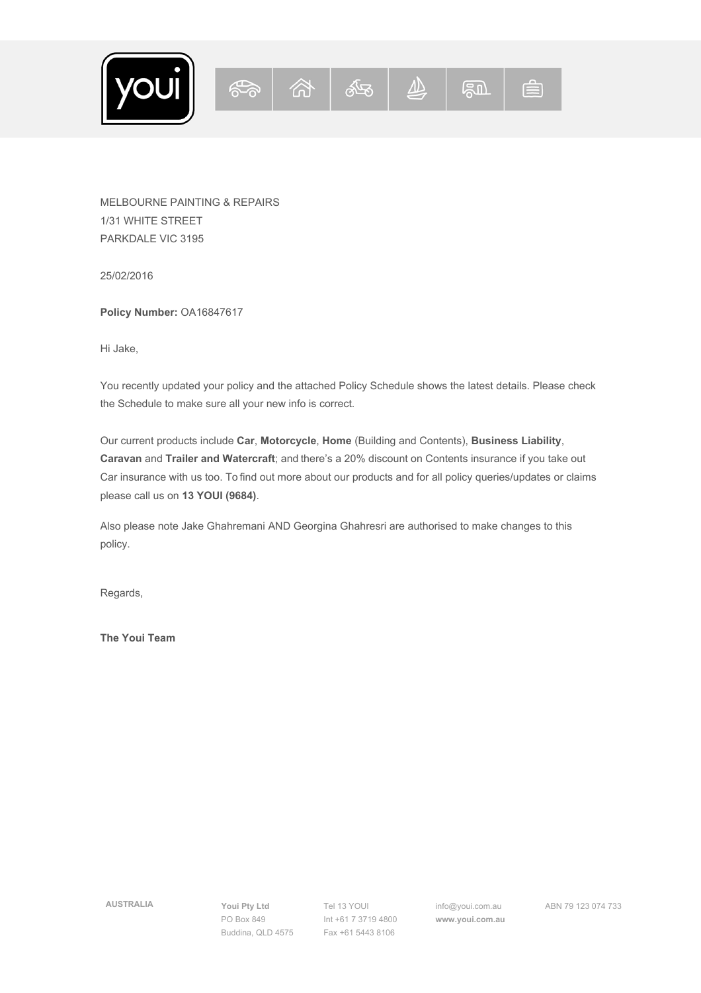$1 \t23$ ,  $0 \t3$ ,  $-4$  (  $^{\prime}$ , 5 6 )

 $1 1 #$ 

 $\#$   $\quad$   $\#$ 

3 7 8 %

 $\frac{1}{2}$ ; 0; \$  $\frac{1}{8}$  < 9 9 = 949 !

6 9 < 9 = !; < ! \$ ! 9 D ! 9 : 9 \$ !< \$ 9 : 9 E  $\therefore$  < < %& ' ()\*+,-

 $\langle$  :  $\langle$  ! 7 8 .; ;9 ( . 9? .; ;9 <9 9 !; 9 < \$ ! 8 ;  $\mathcal{D}^{(1)}$ 

 $- ? 9 $ < \frac{9}{9}$ 

 $\sim 10^{11}$  km s  $^{-1}$ 

 $\frac{1}{2}$   $\frac{1}{2}$   $\frac{1}{2}$  $\frac{1}{2}$   $\frac{1}{2}$   $\frac{1}{2}$   $\frac{1}{2}$   $\frac{1}{2}$   $\frac{1}{2}$   $\frac{1}{2}$   $\frac{1}{2}$   $\frac{1}{2}$   $\frac{1}{2}$   $\frac{1}{2}$   $\frac{1}{2}$   $\frac{1}{2}$   $\frac{1}{2}$   $\frac{1}{2}$   $\frac{1}{2}$   $\frac{1}{2}$   $\frac{1}{2}$   $\frac{1}{2}$   $\frac{1}{2}$   $\frac{1}{2}$   $\frac{1}{2}$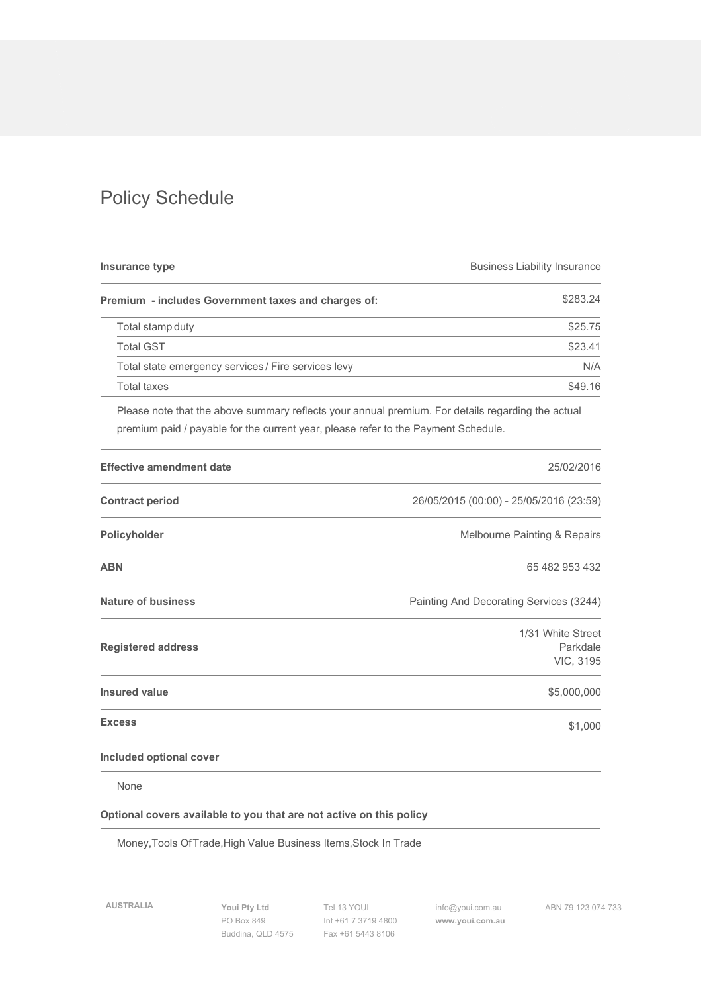$0 \; ; \; \; \mathsf{\$}$ 

|                         |                 | $\frac{1}{2}$ $\frac{1}{2}$ $\frac{1}{2}$                                                                                                                                                                                              |  |  |  |  |  |                                                                                                   |  |  |  |         |                          |   |                             |                |
|-------------------------|-----------------|----------------------------------------------------------------------------------------------------------------------------------------------------------------------------------------------------------------------------------------|--|--|--|--|--|---------------------------------------------------------------------------------------------------|--|--|--|---------|--------------------------|---|-----------------------------|----------------|
|                         |                 |                                                                                                                                                                                                                                        |  |  |  |  |  | 0 ! 1 " ! ! 2 ! . 3 \$                                                                            |  |  |  |         |                          |   | F.                          |                |
|                         | $\mathbf{I}$    | $ $ !$                                                                                                                                                                                                                                 |  |  |  |  |  |                                                                                                   |  |  |  |         |                          |   |                             | $F$ )          |
|                         | $\mathbf{1}$    | .0                                                                                                                                                                                                                                     |  |  |  |  |  |                                                                                                   |  |  |  |         |                          |   | $\mathsf F$                 |                |
|                         |                 | $!$ ! 9? < <math 9G 9 << $9G$ < 6                                                                                                                                                                                                      |  |  |  |  |  |                                                                                                   |  |  |  |         |                          |   |                             | $\overline{1}$ |
|                         |                 | $\frac{1}{2}$ $\frac{1}{2}$ $\leq$                                                                                                                                                                                                     |  |  |  |  |  |                                                                                                   |  |  |  |         |                          |   | F                           |                |
|                         | : 9             | : $$ 1 : D!; 99 : 9\% < 9 9; !$ $10; $$                                                                                                                                                                                                |  |  |  |  |  |                                                                                                   |  |  |  |         |                          |   |                             |                |
|                         |                 | $4 \$ \$$ " !!                                                                                                                                                                                                                         |  |  |  |  |  |                                                                                                   |  |  |  |         |                          |   | $1 \t 1$                    |                |
|                         | $\frac{1}{2}$ / |                                                                                                                                                                                                                                        |  |  |  |  |  |                                                                                                   |  |  |  |         | #1 ) 1 ) > H @ I ) 1 ) 1 |   |                             |                |
|                         | $\sim 10^{-11}$ |                                                                                                                                                                                                                                        |  |  |  |  |  |                                                                                                   |  |  |  | $+$ D 9 |                          |   | $\frac{1}{2}$ $\frac{2}{7}$ |                |
|                         |                 |                                                                                                                                                                                                                                        |  |  |  |  |  |                                                                                                   |  |  |  |         |                          |   | $#$ ) )                     |                |
|                         |                 | $\updownarrow$ $\uparrow$                                                                                                                                                                                                              |  |  |  |  |  |                                                                                                   |  |  |  |         | $?$ \$ (9 ! ? 0 9 G      |   |                             |                |
| $\overline{\mathbf{3}}$ |                 |                                                                                                                                                                                                                                        |  |  |  |  |  |                                                                                                   |  |  |  |         |                          | 1 |                             | 2; ! 0<br>98\$ |
|                         |                 |                                                                                                                                                                                                                                        |  |  |  |  |  |                                                                                                   |  |  |  |         |                          |   |                             | 5 6 %          |
| $\mathbf{I}$            |                 | $\sim$ 10 $\,$                                                                                                                                                                                                                         |  |  |  |  |  |                                                                                                   |  |  |  |         |                          |   |                             | F)% %          |
| 42                      |                 |                                                                                                                                                                                                                                        |  |  |  |  |  |                                                                                                   |  |  |  |         |                          |   |                             | F %            |
| $\frac{1}{2}$           |                 |                                                                                                                                                                                                                                        |  |  |  |  |  |                                                                                                   |  |  |  |         |                          |   |                             |                |
|                         |                 | $\mathbb{Z}/\mathbb{Z}$ . The contract of the contract of the contract of the contract of the contract of the contract of the contract of the contract of the contract of the contract of the contract of the contract of the contract |  |  |  |  |  | $\frac{1}{2}$ $\frac{1}{2}$ $\frac{1}{2}$ $\frac{1}{2}$ $\frac{1}{2}$ $\frac{1}{2}$ $\frac{1}{2}$ |  |  |  |         |                          |   |                             |                |
|                         |                 | $+$ % < 9 \$ % 3 5?; < << ! < % 0 ! 8 9 \$                                                                                                                                                                                             |  |  |  |  |  |                                                                                                   |  |  |  |         |                          |   |                             |                |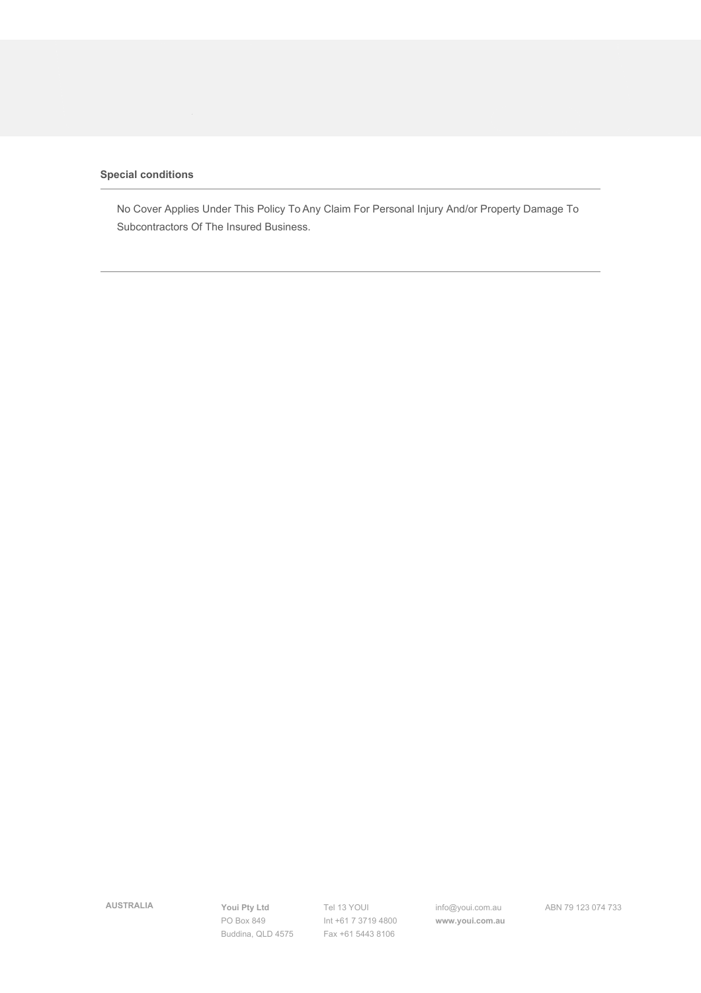$\label{eq:2.1} I_{\rm{max}} = \frac{1}{2} \left[ 1 - \frac{1}{2} \right] \, .$ 

 $6G9 :: < 99 ; < 6 * 9 9 < J9 9 19 9 : 9!$ <br>  $0D 19 19 < 32 * 9 9 < J9 9 19 19 < J9 19 19 < J9 19 19 < J9 19 19 < J9 19 19 < J9 19 19 < J9 19 19 < J9 19 19 < J9 19 19 < J9 19 19 < J9 19 19 < J9 19 19 < J9 19 19 < J9 19 19 < J9 19 19 < J9 19 19 < J9 19 19 < J9 19 19 < J9$